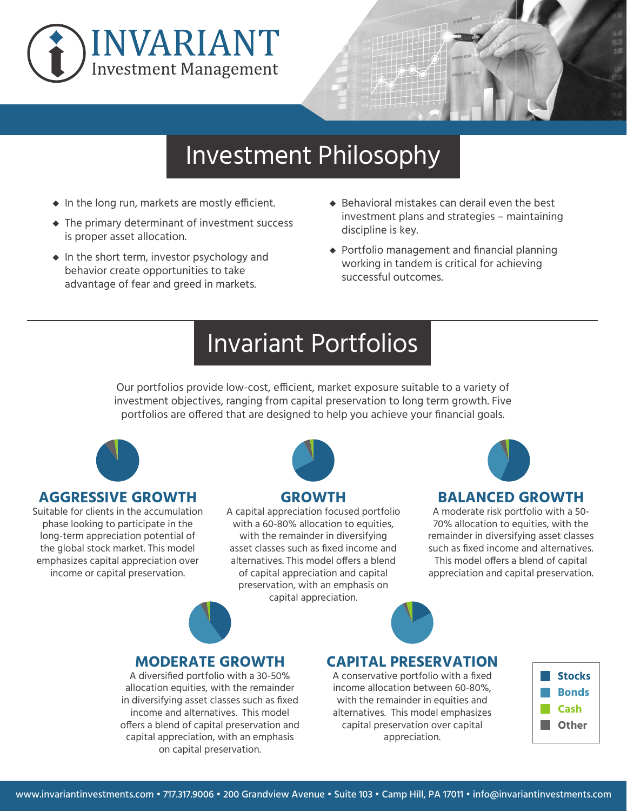



### Investment Philosophy

- **◆** In the long run, markets are mostly efficient.
- **◆** The primary determinant of investment success is proper asset allocation.
- **◆** In the short term, investor psychology and behavior create opportunities to take advantage of fear and greed in markets.
- ◆ Behavioral mistakes can derail even the best investment plans and strategies – maintaining discipline is key.
- **◆** Portfolio management and financial planning working in tandem is critical for achieving successful outcomes.

### Invariant Portfolios

Our portfolios provide low-cost, efficient, market exposure suitable to a variety of investment objectives, ranging from capital preservation to long term growth. Five portfolios are offered that are designed to help you achieve your financial goals.



#### **AGGRESSIVE GROWTH**

Suitable for clients in the accumulation phase looking to participate in the long-term appreciation potential of the global stock market. This model emphasizes capital appreciation over income or capital preservation.



#### **GROWTH**

A capital appreciation focused portfolio with a 60-80% allocation to equities, with the remainder in diversifying asset classes such as fixed income and alternatives. This model offers a blend of capital appreciation and capital preservation, with an emphasis on capital appreciation.



#### **BALANCED GROWTH**

A moderate risk portfolio with a 50- 70% allocation to equities, with the remainder in diversifying asset classes such as fixed income and alternatives. This model offers a blend of capital appreciation and capital preservation.



#### **MODERATE GROWTH**

A diversified portfolio with a 30-50% allocation equities, with the remainder in diversifying asset classes such as fixed income and alternatives. This model offers a blend of capital preservation and capital appreciation, with an emphasis on capital preservation.

### **CAPITAL PRESERVATION**

A conservative portfolio with a fixed income allocation between 60-80%, with the remainder in equities and alternatives. This model emphasizes capital preservation over capital appreciation.

| <b>Stocks</b> |
|---------------|
| <b>Bonds</b>  |
| Cash          |
| <b>Other</b>  |
|               |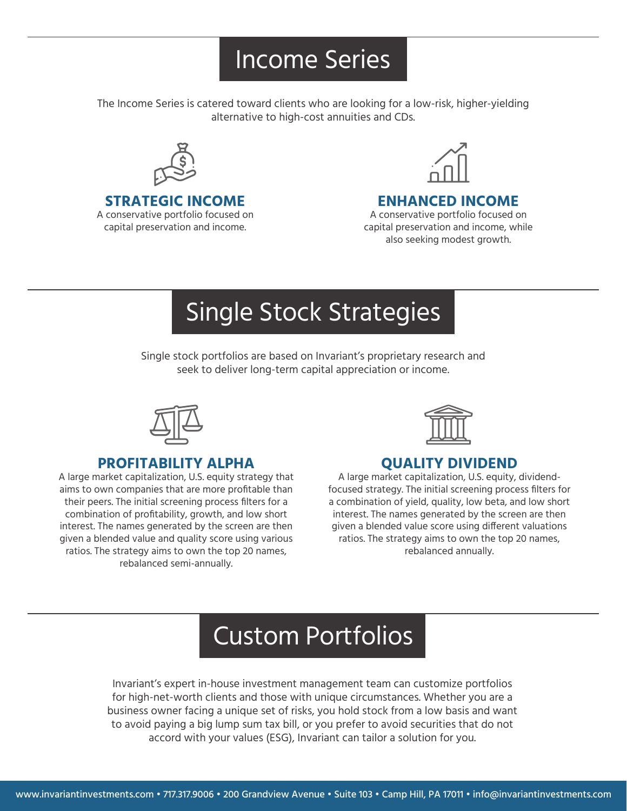### Income Series

The Income Series is catered toward clients who are looking for a low-risk, higher-yielding alternative to high-cost annuities and CDs.



**STRATEGIC INCOME** 

A conservative portfolio focused on capital preservation and income.



#### **ENHANCED INCOME**

A conservative portfolio focused on capital preservation and income, while also seeking modest growth.

# Single Stock Strategies

Single stock portfolios are based on Invariant's proprietary research and seek to deliver long-term capital appreciation or income.



### **PROFITABILITY ALPHA**

A large market capitalization, U.S. equity strategy that aims to own companies that are more profitable than their peers. The initial screening process filters for a combination of profitability, growth, and low short interest. The names generated by the screen are then given a blended value and quality score using various ratios. The strategy aims to own the top 20 names, rebalanced semi-annually.



### **QUALITY DIVIDEND**

A large market capitalization, U.S. equity, dividendfocused strategy. The initial screening process filters for a combination of yield, quality, low beta, and low short interest. The names generated by the screen are then given a blended value score using different valuations ratios. The strategy aims to own the top 20 names, rebalanced annually.

## Custom Portfolios

Invariant's expert in-house investment management team can customize portfolios for high-net-worth clients and those with unique circumstances. Whether you are a business owner facing a unique set of risks, you hold stock from a low basis and want to avoid paying a big lump sum tax bill, or you prefer to avoid securities that do not accord with your values (ESG), Invariant can tailor a solution for you.